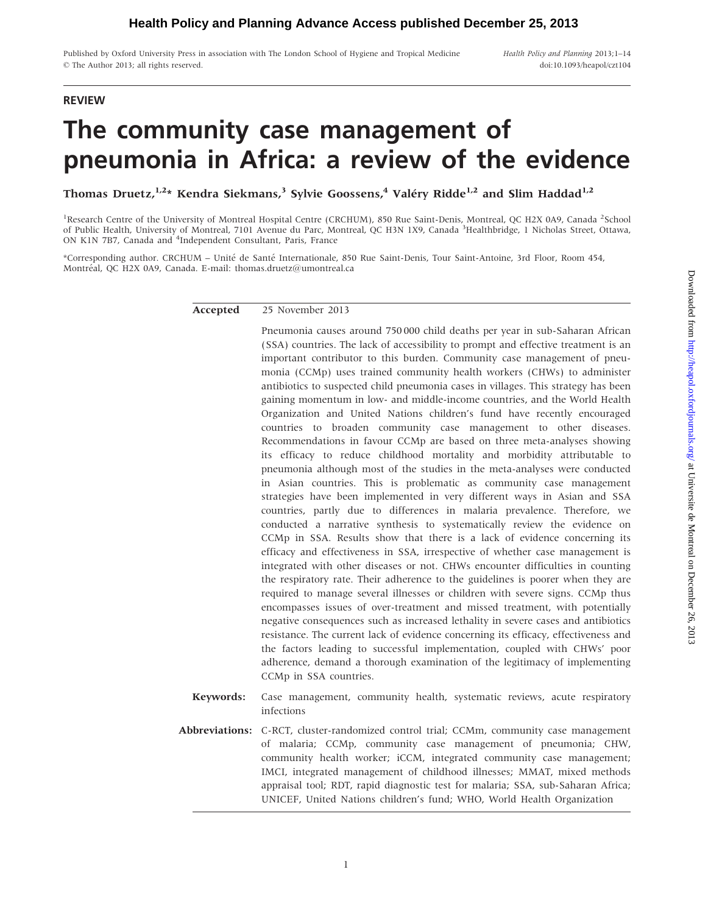Published by Oxford University Press in association with The London School of Hygiene and Tropical Medicine - The Author 2013; all rights reserved.

Health Policy and Planning 2013;1–14 doi:10.1093/heapol/czt104

## REVIEW

# The community case management of pneumonia in Africa: a review of the evidence

Thomas Druetz,<sup>1,2\*</sup> Kendra Siekmans,<sup>3</sup> Sylvie Goossens,<sup>4</sup> Valéry Ridde<sup>1,2</sup> and Slim Haddad<sup>1,2</sup>

<sup>1</sup> Research Centre of the University of Montreal Hospital Centre (CRCHUM), 850 Rue Saint-Denis, Montreal, QC H2X 0A9, Canada <sup>2</sup> School of Public Health, University of Montreal, 7101 Avenue du Parc, Montreal, QC H3N 1X9, Canada <sup>3</sup>Healthbridge, 1 Nicholas Street, Ottawa, ON K1N 7B7, Canada and <sup>4</sup>Independent Consultant, Paris, France

\*Corresponding author. CRCHUM – Unite´ de Sante´ Internationale, 850 Rue Saint-Denis, Tour Saint-Antoine, 3rd Floor, Room 454, Montréal, QC H2X 0A9, Canada. E-mail: thomas.druetz@umontreal.ca

## Accepted 25 November 2013

Pneumonia causes around 750 000 child deaths per year in sub-Saharan African (SSA) countries. The lack of accessibility to prompt and effective treatment is an important contributor to this burden. Community case management of pneumonia (CCMp) uses trained community health workers (CHWs) to administer antibiotics to suspected child pneumonia cases in villages. This strategy has been gaining momentum in low- and middle-income countries, and the World Health Organization and United Nations children's fund have recently encouraged countries to broaden community case management to other diseases. Recommendations in favour CCMp are based on three meta-analyses showing its efficacy to reduce childhood mortality and morbidity attributable to pneumonia although most of the studies in the meta-analyses were conducted in Asian countries. This is problematic as community case management strategies have been implemented in very different ways in Asian and SSA countries, partly due to differences in malaria prevalence. Therefore, we conducted a narrative synthesis to systematically review the evidence on CCMp in SSA. Results show that there is a lack of evidence concerning its efficacy and effectiveness in SSA, irrespective of whether case management is integrated with other diseases or not. CHWs encounter difficulties in counting the respiratory rate. Their adherence to the guidelines is poorer when they are required to manage several illnesses or children with severe signs. CCMp thus encompasses issues of over-treatment and missed treatment, with potentially negative consequences such as increased lethality in severe cases and antibiotics resistance. The current lack of evidence concerning its efficacy, effectiveness and the factors leading to successful implementation, coupled with CHWs' poor adherence, demand a thorough examination of the legitimacy of implementing CCMp in SSA countries.

Keywords: Case management, community health, systematic reviews, acute respiratory infections

Abbreviations: C-RCT, cluster-randomized control trial; CCMm, community case management of malaria; CCMp, community case management of pneumonia; CHW, community health worker; iCCM, integrated community case management; IMCI, integrated management of childhood illnesses; MMAT, mixed methods appraisal tool; RDT, rapid diagnostic test for malaria; SSA, sub-Saharan Africa; UNICEF, United Nations children's fund; WHO, World Health Organization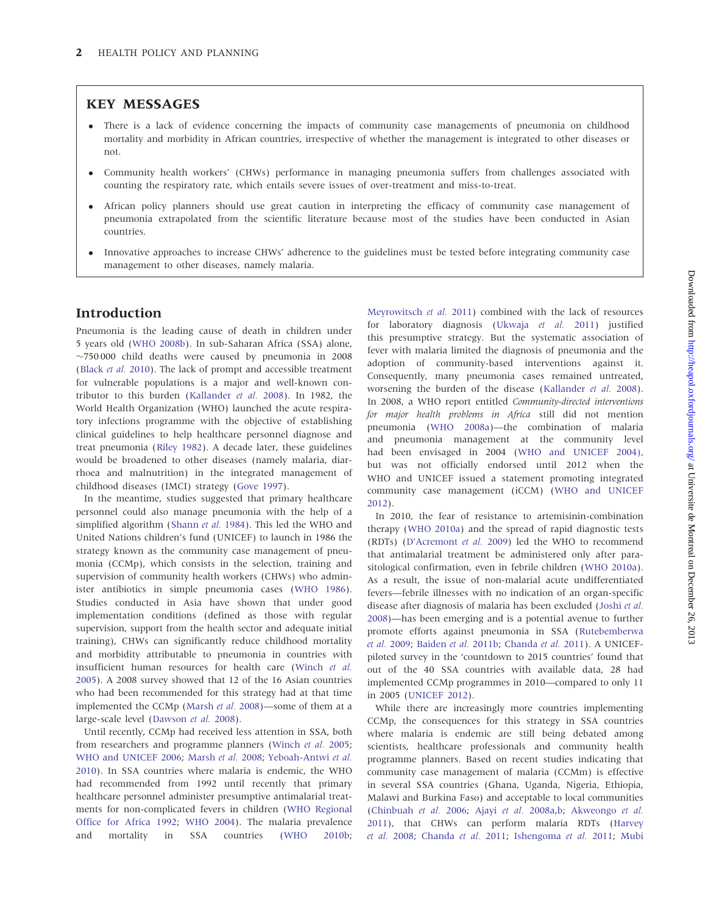## KEY MESSAGES

- There is a lack of evidence concerning the impacts of community case managements of pneumonia on childhood mortality and morbidity in African countries, irrespective of whether the management is integrated to other diseases or not.
- $\bullet$  Community health workers' (CHWs) performance in managing pneumonia suffers from challenges associated with counting the respiratory rate, which entails severe issues of over-treatment and miss-to-treat.
- $\bullet$  African policy planners should use great caution in interpreting the efficacy of community case management of pneumonia extrapolated from the scientific literature because most of the studies have been conducted in Asian countries.
- $\bullet$  Innovative approaches to increase CHWs' adherence to the guidelines must be tested before integrating community case management to other diseases, namely malaria.

# Introduction

Pneumonia is the leading cause of death in children under 5 years old ([WHO 2008b](#page-12-0)). In sub-Saharan Africa (SSA) alone,  $\sim$ 750 000 child deaths were caused by pneumonia in 2008 [\(Black](#page-10-0) et al. 2010). The lack of prompt and accessible treatment for vulnerable populations is a major and well-known contributor to this burden ([Kallander](#page-11-0) et al. 2008). In 1982, the World Health Organization (WHO) launched the acute respiratory infections programme with the objective of establishing clinical guidelines to help healthcare personnel diagnose and treat pneumonia [\(Riley 1982\)](#page-12-0). A decade later, these guidelines would be broadened to other diseases (namely malaria, diarrhoea and malnutrition) in the integrated management of childhood diseases (IMCI) strategy [\(Gove 1997\)](#page-11-0).

In the meantime, studies suggested that primary healthcare personnel could also manage pneumonia with the help of a simplified algorithm ([Shann](#page-12-0) et al. 1984). This led the WHO and United Nations children's fund (UNICEF) to launch in 1986 the strategy known as the community case management of pneumonia (CCMp), which consists in the selection, training and supervision of community health workers (CHWs) who administer antibiotics in simple pneumonia cases ([WHO 1986](#page-12-0)). Studies conducted in Asia have shown that under good implementation conditions (defined as those with regular supervision, support from the health sector and adequate initial training), CHWs can significantly reduce childhood mortality and morbidity attributable to pneumonia in countries with insufficient human resources for health care ([Winch](#page-12-0) et al. [2005](#page-12-0)). A 2008 survey showed that 12 of the 16 Asian countries who had been recommended for this strategy had at that time implemented the CCMp [\(Marsh](#page-11-0) et al. 2008)—some of them at a large-scale level ([Dawson](#page-11-0) et al. 2008).

Until recently, CCMp had received less attention in SSA, both from researchers and programme planners ([Winch](#page-12-0) et al. 2005; [WHO and UNICEF 2006](#page-12-0); [Marsh](#page-11-0) et al. 2008; [Yeboah-Antwi](#page-12-0) et al. [2010](#page-12-0)). In SSA countries where malaria is endemic, the WHO had recommended from 1992 until recently that primary healthcare personnel administer presumptive antimalarial treatments for non-complicated fevers in children [\(WHO Regional](#page-12-0) [Office for Africa 1992;](#page-12-0) [WHO 2004](#page-12-0)). The malaria prevalence and mortality in SSA countries ([WHO 2010b](#page-12-0);

[Meyrowitsch](#page-11-0) et al. 2011) combined with the lack of resources for laboratory diagnosis ([Ukwaja](#page-12-0) et al. 2011) justified this presumptive strategy. But the systematic association of fever with malaria limited the diagnosis of pneumonia and the adoption of community-based interventions against it. Consequently, many pneumonia cases remained untreated, worsening the burden of the disease [\(Kallander](#page-11-0) et al. 2008). In 2008, a WHO report entitled Community-directed interventions for major health problems in Africa still did not mention pneumonia [\(WHO 2008a\)](#page-12-0)—the combination of malaria and pneumonia management at the community level had been envisaged in 2004 [\(WHO and UNICEF 2004\),](#page-12-0) but was not officially endorsed until 2012 when the WHO and UNICEF issued a statement promoting integrated community case management (iCCM) ([WHO and UNICEF](#page-12-0) [2012](#page-12-0)).

In 2010, the fear of resistance to artemisinin-combination therapy ([WHO 2010a](#page-12-0)) and the spread of rapid diagnostic tests (RDTs) ([D'Acremont](#page-11-0) et al. 2009) led the WHO to recommend that antimalarial treatment be administered only after parasitological confirmation, even in febrile children ([WHO 2010a](#page-12-0)). As a result, the issue of non-malarial acute undifferentiated fevers—febrile illnesses with no indication of an organ-specific disease after diagnosis of malaria has been excluded ([Joshi](#page-11-0) et al. [2008](#page-11-0))—has been emerging and is a potential avenue to further promote efforts against pneumonia in SSA [\(Rutebemberwa](#page-12-0) et al. [2009](#page-12-0); [Baiden](#page-10-0) et al. 2011b; [Chanda](#page-10-0) et al. 2011). A UNICEFpiloted survey in the 'countdown to 2015 countries' found that out of the 40 SSA countries with available data, 28 had implemented CCMp programmes in 2010—compared to only 11 in 2005 [\(UNICEF 2012\)](#page-12-0).

While there are increasingly more countries implementing CCMp, the consequences for this strategy in SSA countries where malaria is endemic are still being debated among scientists, healthcare professionals and community health programme planners. Based on recent studies indicating that community case management of malaria (CCMm) is effective in several SSA countries (Ghana, Uganda, Nigeria, Ethiopia, Malawi and Burkina Faso) and acceptable to local communities [\(Chinbuah](#page-10-0) et al. 2006; Ajayi et al. [2008a,b;](#page-10-0) [Akweongo](#page-10-0) et al. [2011](#page-10-0)), that CHWs can perform malaria RDTs [\(Harvey](#page-11-0) [et al.](#page-11-0) 2008; [Chanda](#page-10-0) et al. 2011; [Ishengoma](#page-11-0) et al. 2011; [Mubi](#page-11-0)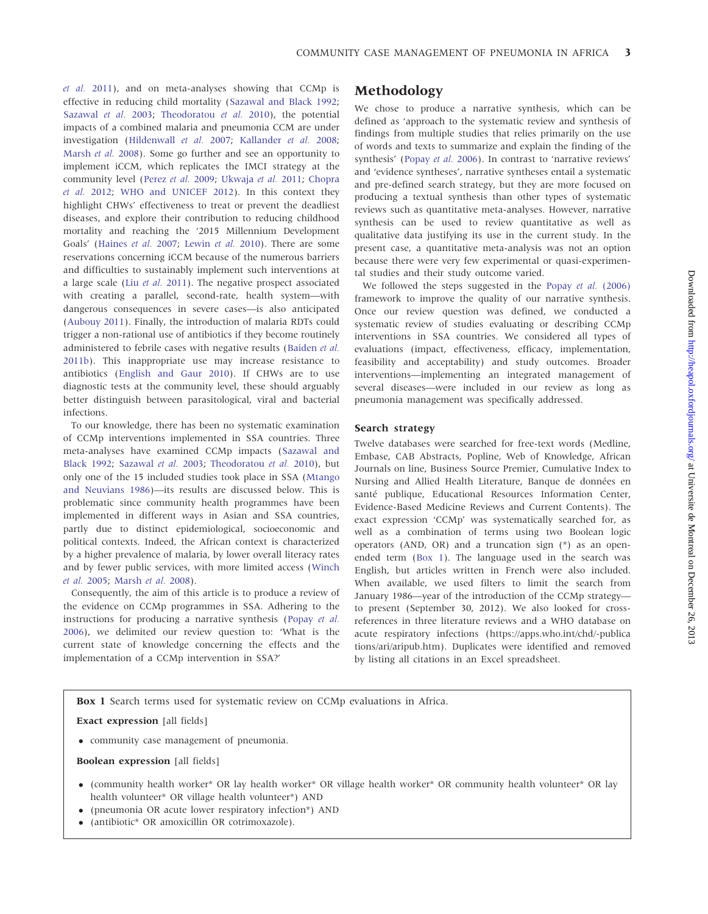<span id="page-2-0"></span>[et al.](#page-11-0) 2011), and on meta-analyses showing that CCMp is effective in reducing child mortality ([Sazawal and Black 1992](#page-12-0); [Sazawal](#page-12-0) et al. 2003; [Theodoratou](#page-12-0) et al. 2010), the potential impacts of a combined malaria and pneumonia CCM are under investigation [\(Hildenwall](#page-11-0) et al. 2007; [Kallander](#page-11-0) et al. 2008; [Marsh](#page-11-0) et al. 2008). Some go further and see an opportunity to implement iCCM, which replicates the IMCI strategy at the community level [\(Perez](#page-11-0) et al. 2009; [Ukwaja](#page-12-0) et al. 2011; [Chopra](#page-11-0) [et al.](#page-11-0) 2012; [WHO and UNICEF 2012](#page-12-0)). In this context they highlight CHWs' effectiveness to treat or prevent the deadliest diseases, and explore their contribution to reducing childhood mortality and reaching the '2015 Millennium Development Goals' ([Haines](#page-11-0) et al. 2007; [Lewin](#page-11-0) et al. 2010). There are some reservations concerning iCCM because of the numerous barriers and difficulties to sustainably implement such interventions at a large scale (Liu et al. [2011\)](#page-11-0). The negative prospect associated with creating a parallel, second-rate, health system—with dangerous consequences in severe cases—is also anticipated [\(Aubouy 2011\)](#page-10-0). Finally, the introduction of malaria RDTs could trigger a non-rational use of antibiotics if they become routinely administered to febrile cases with negative results ([Baiden](#page-10-0) et al. [2011b](#page-10-0)). This inappropriate use may increase resistance to antibiotics ([English and Gaur 2010](#page-11-0)). If CHWs are to use diagnostic tests at the community level, these should arguably better distinguish between parasitological, viral and bacterial infections.

To our knowledge, there has been no systematic examination of CCMp interventions implemented in SSA countries. Three meta-analyses have examined CCMp impacts [\(Sazawal and](#page-12-0) [Black 1992;](#page-12-0) [Sazawal](#page-12-0) et al. 2003; [Theodoratou](#page-12-0) et al. 2010), but only one of the 15 included studies took place in SSA [\(Mtango](#page-11-0) [and Neuvians 1986\)](#page-11-0)—its results are discussed below. This is problematic since community health programmes have been implemented in different ways in Asian and SSA countries, partly due to distinct epidemiological, socioeconomic and political contexts. Indeed, the African context is characterized by a higher prevalence of malaria, by lower overall literacy rates and by fewer public services, with more limited access ([Winch](#page-12-0) et al. [2005](#page-12-0); [Marsh](#page-11-0) et al. 2008).

Consequently, the aim of this article is to produce a review of the evidence on CCMp programmes in SSA. Adhering to the instructions for producing a narrative synthesis ([Popay](#page-11-0) et al. [2006](#page-11-0)), we delimited our review question to: 'What is the current state of knowledge concerning the effects and the implementation of a CCMp intervention in SSA?'

## Methodology

We chose to produce a narrative synthesis, which can be defined as 'approach to the systematic review and synthesis of findings from multiple studies that relies primarily on the use of words and texts to summarize and explain the finding of the synthesis' ([Popay](#page-11-0) et al. 2006). In contrast to 'narrative reviews' and 'evidence syntheses', narrative syntheses entail a systematic and pre-defined search strategy, but they are more focused on producing a textual synthesis than other types of systematic reviews such as quantitative meta-analyses. However, narrative synthesis can be used to review quantitative as well as qualitative data justifying its use in the current study. In the present case, a quantitative meta-analysis was not an option because there were very few experimental or quasi-experimental studies and their study outcome varied.

We followed the steps suggested in the Popay et al. [\(2006\)](#page-11-0) framework to improve the quality of our narrative synthesis. Once our review question was defined, we conducted a systematic review of studies evaluating or describing CCMp interventions in SSA countries. We considered all types of evaluations (impact, effectiveness, efficacy, implementation, feasibility and acceptability) and study outcomes. Broader interventions—implementing an integrated management of several diseases—were included in our review as long as pneumonia management was specifically addressed.

#### Search strategy

Twelve databases were searched for free-text words (Medline, Embase, CAB Abstracts, Popline, Web of Knowledge, African Journals on line, Business Source Premier, Cumulative Index to Nursing and Allied Health Literature, Banque de données en santé publique, Educational Resources Information Center, Evidence-Based Medicine Reviews and Current Contents). The exact expression 'CCMp' was systematically searched for, as well as a combination of terms using two Boolean logic operators (AND, OR) and a truncation sign (\*) as an openended term (Box 1). The language used in the search was English, but articles written in French were also included. When available, we used filters to limit the search from January 1986—year of the introduction of the CCMp strategy to present (September 30, 2012). We also looked for crossreferences in three literature reviews and a WHO database on acute respiratory infections ([https://apps.who.int/chd/-publica](https://apps.who.int/chd/-publications/ari/aripub.htm) [tions/ari/aripub.htm](https://apps.who.int/chd/-publications/ari/aripub.htm)). Duplicates were identified and removed by listing all citations in an Excel spreadsheet.

Box 1 Search terms used for systematic review on CCMp evaluations in Africa.

**Exact expression** [all fields]

- community case management of pneumonia.

Boolean expression [all fields]

- (community health worker\* OR lay health worker\* OR village health worker\* OR community health volunteer\* OR lay health volunteer\* OR village health volunteer\*) AND
- (pneumonia OR acute lower respiratory infection\*) AND
- (antibiotic\* OR amoxicillin OR cotrimoxazole).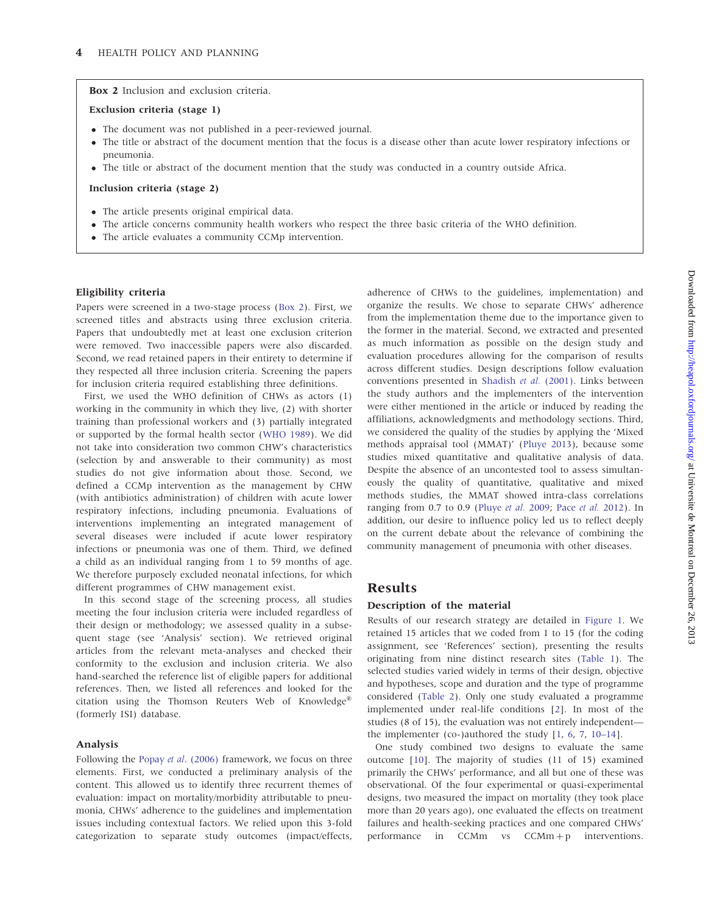Box 2 Inclusion and exclusion criteria.

#### Exclusion criteria (stage 1)

- The document was not published in a peer-reviewed journal.
- The title or abstract of the document mention that the focus is a disease other than acute lower respiratory infections or pneumonia.
- The title or abstract of the document mention that the study was conducted in a country outside Africa.

#### Inclusion criteria (stage 2)

- The article presents original empirical data.
- The article concerns community health workers who respect the three basic criteria of the WHO definition.
- The article evaluates a community CCMp intervention.

#### Eligibility criteria

Papers were screened in a two-stage process ([Box 2\)](#page-2-0). First, we screened titles and abstracts using three exclusion criteria. Papers that undoubtedly met at least one exclusion criterion were removed. Two inaccessible papers were also discarded. Second, we read retained papers in their entirety to determine if they respected all three inclusion criteria. Screening the papers for inclusion criteria required establishing three definitions.

First, we used the WHO definition of CHWs as actors (1) working in the community in which they live, (2) with shorter training than professional workers and (3) partially integrated or supported by the formal health sector [\(WHO 1989\)](#page-12-0). We did not take into consideration two common CHW's characteristics (selection by and answerable to their community) as most studies do not give information about those. Second, we defined a CCMp intervention as the management by CHW (with antibiotics administration) of children with acute lower respiratory infections, including pneumonia. Evaluations of interventions implementing an integrated management of several diseases were included if acute lower respiratory infections or pneumonia was one of them. Third, we defined a child as an individual ranging from 1 to 59 months of age. We therefore purposely excluded neonatal infections, for which different programmes of CHW management exist.

In this second stage of the screening process, all studies meeting the four inclusion criteria were included regardless of their design or methodology; we assessed quality in a subsequent stage (see 'Analysis' section). We retrieved original articles from the relevant meta-analyses and checked their conformity to the exclusion and inclusion criteria. We also hand-searched the reference list of eligible papers for additional references. Then, we listed all references and looked for the citation using the Thomson Reuters Web of Knowledge (formerly ISI) database.

#### Analysis

Following the Popay et al[. \(2006\)](#page-11-0) framework, we focus on three elements. First, we conducted a preliminary analysis of the content. This allowed us to identify three recurrent themes of evaluation: impact on mortality/morbidity attributable to pneumonia, CHWs' adherence to the guidelines and implementation issues including contextual factors. We relied upon this 3-fold categorization to separate study outcomes (impact/effects,

adherence of CHWs to the guidelines, implementation) and organize the results. We chose to separate CHWs' adherence from the implementation theme due to the importance given to the former in the material. Second, we extracted and presented as much information as possible on the design study and evaluation procedures allowing for the comparison of results across different studies. Design descriptions follow evaluation conventions presented in [Shadish](#page-12-0) et al. (2001). Links between the study authors and the implementers of the intervention were either mentioned in the article or induced by reading the affiliations, acknowledgments and methodology sections. Third, we considered the quality of the studies by applying the 'Mixed methods appraisal tool (MMAT)' ([Pluye 2013\)](#page-11-0), because some studies mixed quantitative and qualitative analysis of data. Despite the absence of an uncontested tool to assess simultaneously the quality of quantitative, qualitative and mixed methods studies, the MMAT showed intra-class correlations ranging from 0.7 to 0.9 ([Pluye](#page-11-0) et al. 2009; Pace et al. [2012\)](#page-11-0). In addition, our desire to influence policy led us to reflect deeply on the current debate about the relevance of combining the community management of pneumonia with other diseases.

## Results

#### Description of the material

Results of our research strategy are detailed in [Figure 1](#page-4-0). We retained 15 articles that we coded from 1 to 15 (for the coding assignment, see 'References' section), presenting the results originating from nine distinct research sites ([Table 1](#page-5-0)). The selected studies varied widely in terms of their design, objective and hypotheses, scope and duration and the type of programme considered [\(Table 2](#page-6-0)). Only one study evaluated a programme implemented under real-life conditions [\[2\]](#page-12-0). In most of the studies (8 of 15), the evaluation was not entirely independent the implementer (co-)authored the study [\[1,](#page-12-0) [6,](#page-13-0) [7,](#page-13-0) [10–14](#page-13-0)].

One study combined two designs to evaluate the same outcome [[10\]](#page-13-0). The majority of studies (11 of 15) examined primarily the CHWs' performance, and all but one of these was observational. Of the four experimental or quasi-experimental designs, two measured the impact on mortality (they took place more than 20 years ago), one evaluated the effects on treatment failures and health-seeking practices and one compared CHWs' performance in  $CCMm$  vs  $CCMm + p$  interventions.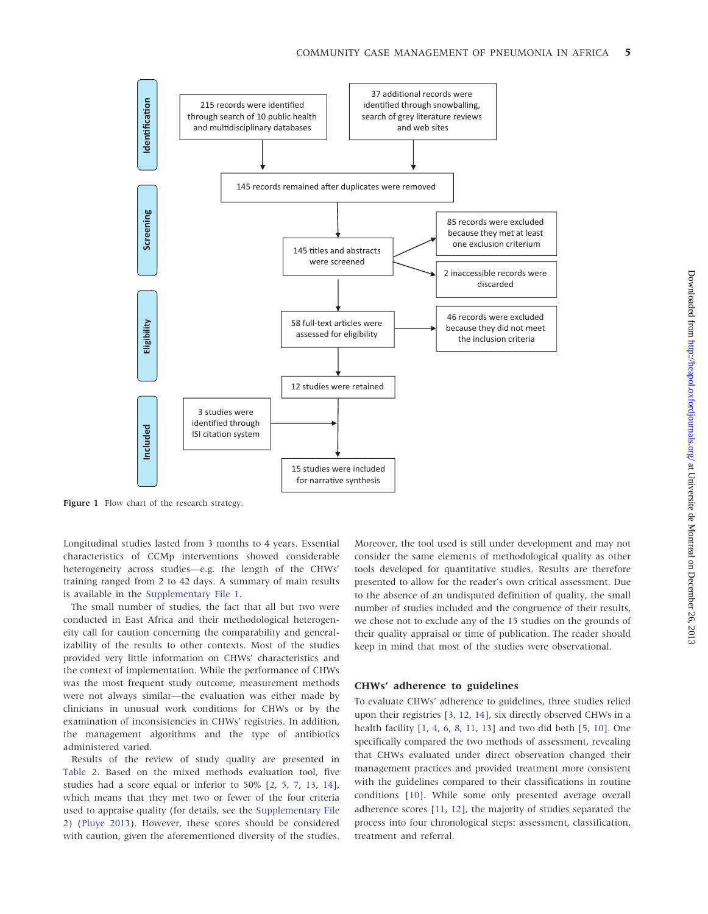<span id="page-4-0"></span>

Figure 1 Flow chart of the research strategy.

Longitudinal studies lasted from 3 months to 4 years. Essential characteristics of CCMp interventions showed considerable heterogeneity across studies—e.g. the length of the CHWs' training ranged from 2 to 42 days. A summary of main results is available in the [Supplementary File 1.](http://heapol.oxfordjournals.org/lookup/suppl/doi:10.1093/heapol/czt104/-/DC1)

The small number of studies, the fact that all but two were conducted in East Africa and their methodological heterogeneity call for caution concerning the comparability and generalizability of the results to other contexts. Most of the studies provided very little information on CHWs' characteristics and the context of implementation. While the performance of CHWs was the most frequent study outcome, measurement methods were not always similar—the evaluation was either made by clinicians in unusual work conditions for CHWs or by the examination of inconsistencies in CHWs' registries. In addition, the management algorithms and the type of antibiotics administered varied.

Results of the review of study quality are presented in [Table 2](#page-6-0). Based on the mixed methods evaluation tool, five studies had a score equal or inferior to 50% [\[2,](#page-12-0) [5](#page-12-0), [7,](#page-13-0) [13](#page-13-0), [14](#page-13-0)], which means that they met two or fewer of the four criteria used to appraise quality (for details, see the [Supplementary File](http://heapol.oxfordjournals.org/lookup/suppl/doi:10.1093/heapol/czt104/-/DC1) [2](http://heapol.oxfordjournals.org/lookup/suppl/doi:10.1093/heapol/czt104/-/DC1)) ([Pluye 2013\)](#page-11-0). However, these scores should be considered with caution, given the aforementioned diversity of the studies. Moreover, the tool used is still under development and may not consider the same elements of methodological quality as other tools developed for quantitative studies. Results are therefore presented to allow for the reader's own critical assessment. Due to the absence of an undisputed definition of quality, the small number of studies included and the congruence of their results, we chose not to exclude any of the 15 studies on the grounds of their quality appraisal or time of publication. The reader should keep in mind that most of the studies were observational.

## CHWs' adherence to guidelines

To evaluate CHWs' adherence to guidelines, three studies relied upon their registries [[3](#page-12-0), [12,](#page-13-0) [14\]](#page-13-0), six directly observed CHWs in a health facility [[1](#page-12-0), [4,](#page-12-0) [6](#page-13-0), [8,](#page-13-0) [11,](#page-13-0) [13\]](#page-13-0) and two did both [[5](#page-12-0), [10](#page-13-0)]. One specifically compared the two methods of assessment, revealing that CHWs evaluated under direct observation changed their management practices and provided treatment more consistent with the guidelines compared to their classifications in routine conditions [\[10](#page-13-0)]. While some only presented average overall adherence scores [\[11](#page-13-0), [12](#page-13-0)], the majority of studies separated the process into four chronological steps: assessment, classification, treatment and referral.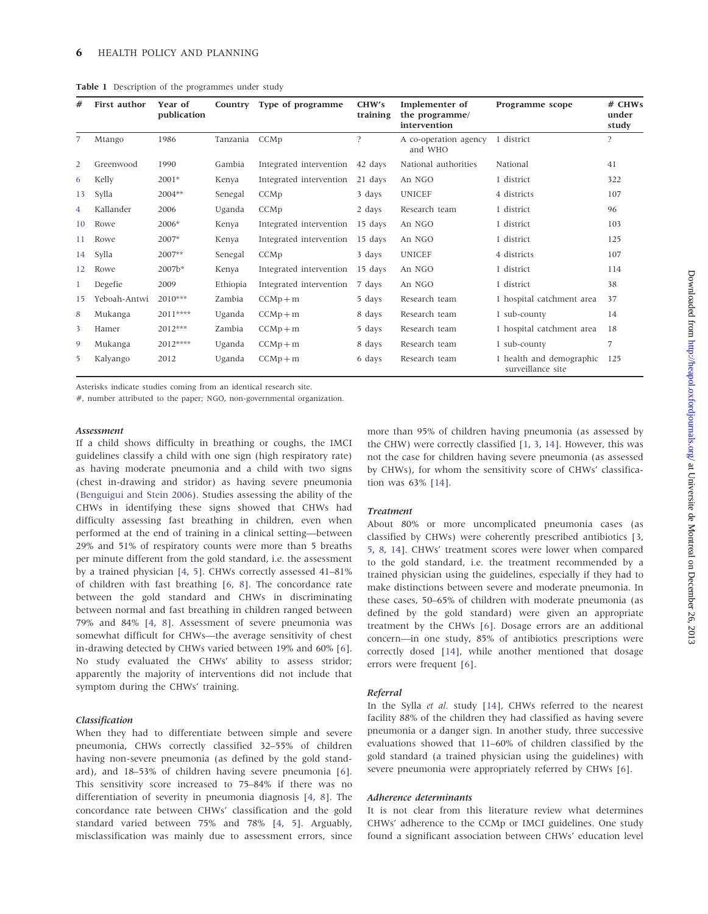| #              | First author | Year of<br>publication | Country  | Type of programme               | CHW's<br>training | Implementer of<br>the programme/<br>intervention | Programme scope                               | # CHWs<br>under<br>study |
|----------------|--------------|------------------------|----------|---------------------------------|-------------------|--------------------------------------------------|-----------------------------------------------|--------------------------|
| $\overline{7}$ | Mtango       | 1986                   | Tanzania | CCMp                            | $\overline{?}$    | A co-operation agency<br>and WHO                 | 1 district                                    | $\overline{?}$           |
| 2              | Greenwood    | 1990                   | Gambia   | Integrated intervention         | 42 days           | National authorities                             | National                                      | 41                       |
| 6              | Kelly        | $2001*$                | Kenya    | Integrated intervention         | 21 days           | An NGO                                           | 1 district                                    | 322                      |
| 13             | Sylla        | 2004**                 | Senegal  | CCMp                            | 3 days            | <b>UNICEF</b>                                    | 4 districts                                   | 107                      |
| 4              | Kallander    | 2006                   | Uganda   | CCMp                            | 2 days            | Research team                                    | 1 district                                    | 96                       |
| 10             | Rowe         | 2006*                  | Kenya    | Integrated intervention         | 15 days           | An NGO                                           | 1 district                                    | 103                      |
| 11             | Rowe         | 2007*                  | Kenya    | Integrated intervention 15 days |                   | An NGO                                           | 1 district                                    | 125                      |
| 14             | Sylla        | $2007**$               | Senegal  | CCMp                            | 3 days            | <b>UNICEF</b>                                    | 4 districts                                   | 107                      |
| 12             | Rowe         | 2007b*                 | Kenya    | Integrated intervention         | 15 days           | An NGO                                           | 1 district                                    | 114                      |
| 1              | Degefie      | 2009                   | Ethiopia | Integrated intervention         | 7 days            | An NGO                                           | 1 district                                    | 38                       |
| 15             | Yeboah-Antwi | $2010***$              | Zambia   | $CCMp + m$                      | 5 days            | Research team                                    | 1 hospital catchment area                     | 37                       |
| 8              | Mukanga      | $2011***$              | Uganda   | $CCMp + m$                      | 8 days            | Research team                                    | 1 sub-county                                  | 14                       |
| 3              | Hamer        | $2012***$              | Zambia   | $CCMp + m$                      | 5 days            | Research team                                    | 1 hospital catchment area                     | 18                       |
| 9              | Mukanga      | $2012***$              | Uganda   | $CCMp + m$                      | 8 days            | Research team                                    | 1 sub-county                                  | 7                        |
| 5.             | Kalyango     | 2012                   | Uganda   | $CCMp + m$                      | 6 days            | Research team                                    | 1 health and demographic<br>surveillance site | 125                      |

<span id="page-5-0"></span>Table 1 Description of the programmes under study

Asterisks indicate studies coming from an identical research site.

#, number attributed to the paper; NGO, non-governmental organization.

#### Assessment

If a child shows difficulty in breathing or coughs, the IMCI guidelines classify a child with one sign (high respiratory rate) as having moderate pneumonia and a child with two signs (chest in-drawing and stridor) as having severe pneumonia [\(Benguigui and Stein 2006](#page-10-0)). Studies assessing the ability of the CHWs in identifying these signs showed that CHWs had difficulty assessing fast breathing in children, even when performed at the end of training in a clinical setting—between 29% and 51% of respiratory counts were more than 5 breaths per minute different from the gold standard, i.e. the assessment by a trained physician [\[4,](#page-12-0) [5\]](#page-12-0). CHWs correctly assessed 41–81% of children with fast breathing [[6](#page-13-0), [8\]](#page-13-0). The concordance rate between the gold standard and CHWs in discriminating between normal and fast breathing in children ranged between 79% and 84% [[4](#page-12-0), [8\]](#page-13-0). Assessment of severe pneumonia was somewhat difficult for CHWs—the average sensitivity of chest in-drawing detected by CHWs varied between 19% and 60% [[6](#page-13-0)]. No study evaluated the CHWs' ability to assess stridor; apparently the majority of interventions did not include that symptom during the CHWs' training.

#### Classification

When they had to differentiate between simple and severe pneumonia, CHWs correctly classified 32–55% of children having non-severe pneumonia (as defined by the gold standard), and 18–53% of children having severe pneumonia [[6](#page-13-0)]. This sensitivity score increased to 75–84% if there was no differentiation of severity in pneumonia diagnosis [[4,](#page-12-0) [8\]](#page-13-0). The concordance rate between CHWs' classification and the gold standard varied between 75% and 78% [\[4,](#page-12-0) [5\]](#page-12-0). Arguably, misclassification was mainly due to assessment errors, since

more than 95% of children having pneumonia (as assessed by the CHW) were correctly classified [[1](#page-12-0), [3,](#page-12-0) [14](#page-13-0)]. However, this was not the case for children having severe pneumonia (as assessed by CHWs), for whom the sensitivity score of CHWs' classification was 63% [[14\]](#page-13-0).

#### Treatment

About 80% or more uncomplicated pneumonia cases (as classified by CHWs) were coherently prescribed antibiotics [\[3,](#page-12-0) [5](#page-12-0), [8](#page-13-0), [14\]](#page-13-0). CHWs' treatment scores were lower when compared to the gold standard, i.e. the treatment recommended by a trained physician using the guidelines, especially if they had to make distinctions between severe and moderate pneumonia. In these cases, 50–65% of children with moderate pneumonia (as defined by the gold standard) were given an appropriate treatment by the CHWs [[6](#page-13-0)]. Dosage errors are an additional concern—in one study, 85% of antibiotics prescriptions were correctly dosed [\[14](#page-13-0)], while another mentioned that dosage errors were frequent [\[6](#page-13-0)].

#### Referral

In the Sylla et al. study [\[14\]](#page-13-0), CHWs referred to the nearest facility 88% of the children they had classified as having severe pneumonia or a danger sign. In another study, three successive evaluations showed that 11–60% of children classified by the gold standard (a trained physician using the guidelines) with severe pneumonia were appropriately referred by CHWs [\[6\]](#page-13-0).

#### Adherence determinants

It is not clear from this literature review what determines CHWs' adherence to the CCMp or IMCI guidelines. One study found a significant association between CHWs' education level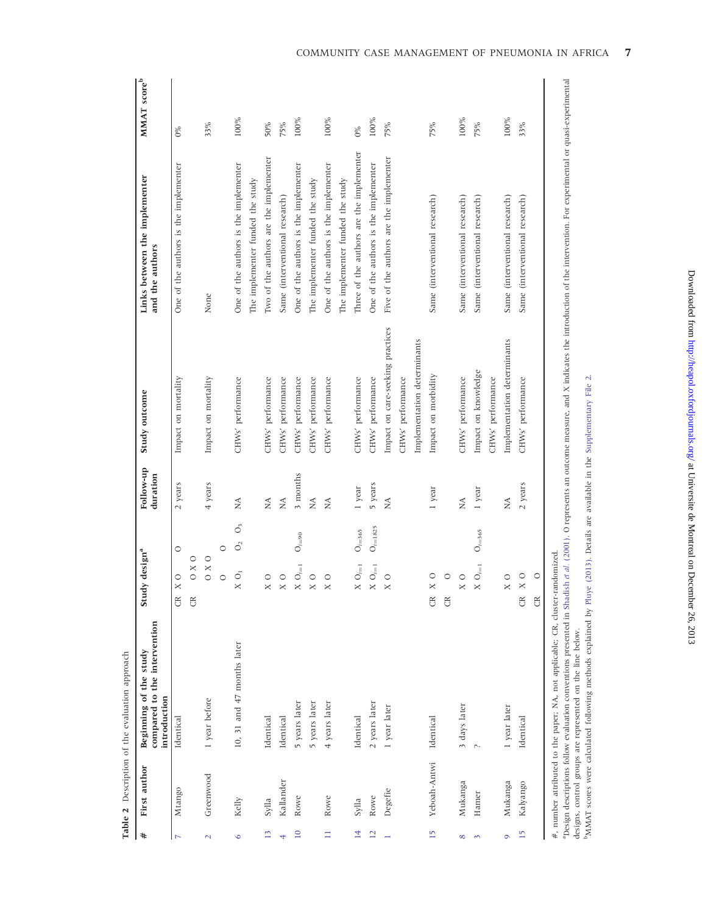<span id="page-6-0"></span>

|                 | First author | compared to the intervention<br>Beginning of the study<br>introduction        | Study design <sup>a</sup>                                      |                        | Follow-up<br>duration                    | Study outcome                    | Links between the implementer<br>and the authors                          | MMAT score <sup>b</sup> |
|-----------------|--------------|-------------------------------------------------------------------------------|----------------------------------------------------------------|------------------------|------------------------------------------|----------------------------------|---------------------------------------------------------------------------|-------------------------|
|                 | Mtango       | Identical                                                                     | 0 X 0<br>$\circ$<br>$\widetilde{\mathbb{E}}$<br>C <sup>R</sup> | $\circ$                | 2 years                                  | Impact on mortality              | One of the authors is the implementer                                     | $0\%$                   |
|                 | Greenwood    | 1 year before                                                                 | 0 X 0<br>$\circ$                                               | $\circ$                | 4 years                                  | Impact on mortality              | None                                                                      | 33%                     |
|                 | Kelly        | 10, 31 and 47 months later                                                    | $\overline{X}$ O <sub>1</sub>                                  | Ő<br>$\circ$           | NA                                       | CHWs' performance                | One of the authors is the implementer<br>The implementer funded the study | 100%                    |
|                 | Sylla        | Identical                                                                     | $\circ$                                                        |                        | $\mathbb{X}^{\mathsf{A}}$                | CHWs' performance                | I'vo of the authors are the implementer                                   | 50%                     |
|                 | Kallander    | Identical                                                                     | $\frac{0}{x}$                                                  |                        | $_{\rm NA}$                              | CHWs' performance                | Same (interventional research)                                            | 75%                     |
| ≘               | Rowe         | 5 years later                                                                 | X $O_{i=1}$                                                    | $\mathcal{O}_{i=90}$   | 3 months                                 | CHWs' performance                | One of the authors is the implementer                                     | 100%                    |
|                 |              | 5 years later                                                                 | $\frac{0}{x}$                                                  |                        | $_{\rm NA}$                              | CHWs' performance                | The implementer funded the study                                          |                         |
|                 | Rowe         | 4 years later                                                                 | $\circ$                                                        |                        | NA                                       | CHWs' performance                | One of the authors is the implementer                                     | 100%                    |
|                 |              |                                                                               |                                                                |                        |                                          |                                  | The implementer funded the study                                          |                         |
| 4               | sylla        | Identical                                                                     | X $\mathcal{O}_{i=1}$                                          | $O_{i=365}$            | 1 year                                   | CHWs' performance                | Three of the authors are the implementer                                  | $0\%$                   |
|                 | Rowe         | 2 years later                                                                 | $X$ O <sub>i=1</sub>                                           | $\mathcal{O}_{i=1825}$ | 5 years                                  | CHWs' performance                | One of the authors is the implementer                                     | 100%                    |
|                 | Degefie      | 1 year later                                                                  | $\circ$<br>$\overline{\phantom{a}}$                            |                        | $\mathbb{X}^{\mathbb{A}}$                | Impact on care-seeking practices | Five of the authors are the implementer                                   | 75%                     |
|                 |              |                                                                               |                                                                |                        |                                          | CHWs' performance                |                                                                           |                         |
|                 |              |                                                                               |                                                                |                        |                                          | Implementation determinants      |                                                                           |                         |
| $\overline{15}$ | Yeboah-Antwi | Identical                                                                     | $\circ$<br>CR                                                  |                        | 1 year                                   | Impact on morbidity              | Same (interventional research)                                            | 75%                     |
|                 |              |                                                                               | $\circ$<br>C <sup>R</sup>                                      |                        |                                          |                                  |                                                                           |                         |
|                 | Mukanga      | 3 days later                                                                  | $\frac{0}{x}$                                                  |                        | $\stackrel{\triangle}{\approx}$          | CHWs' performance                | Same (interventional research)                                            | 100%                    |
|                 | Hamer        | $\sim$                                                                        | $X$ O <sub><math>i=1</math></sub>                              | ${\rm O}_{i=365}$      | 1 year                                   | Impact on knowledge              | Same (interventional research)                                            | 75%                     |
|                 |              |                                                                               |                                                                |                        |                                          | CHWs' performance                |                                                                           |                         |
|                 | Mukanga      | 1 year later                                                                  | $\circ$                                                        |                        | $\stackrel{\triangle}{\scriptstyle\sim}$ | Implementation determinants      | Same (interventional research)                                            | 100%                    |
|                 | Kalyango     | Identical                                                                     | $\overline{X}$ O<br>$\mathbb{R}$                               |                        | 2 years                                  | CHWs' performance                | Same (interventional research)                                            | 33%                     |
|                 |              |                                                                               | $\circ$<br>C <sup>R</sup>                                      |                        |                                          |                                  |                                                                           |                         |
|                 |              | #, number attributed to the paper; NA, not applicable; CR, cluster-randomized |                                                                |                        |                                          |                                  |                                                                           |                         |

<sup>a</sup>Design descriptions follow evaluation conventions presented in Shadish *et al.* (2001). O represents an outcome measure, and X indicates the introduction of the intervention. For experimental or quasi-experimental desig Pbesign descriptions follow evaluation conventions presented in Shadish *et al.* [\(2001\)](#page-12-0). O represents an outcome measure, and X indicates the introduction of the intervention. For experimental or quasi-experimental designs, control groups are represented on the line below.

bMMAT scores were calculated following methods explained by Pluye [\(2013\)](#page-11-0). Details are available in the [Supplementary](http://heapol.oxfordjournals.org/lookup/suppl/doi:10.1093/heapol/czt104/-/DC1) File 2.

Table 2 Description of the evaluation approach Table 2 Description of the evaluation approach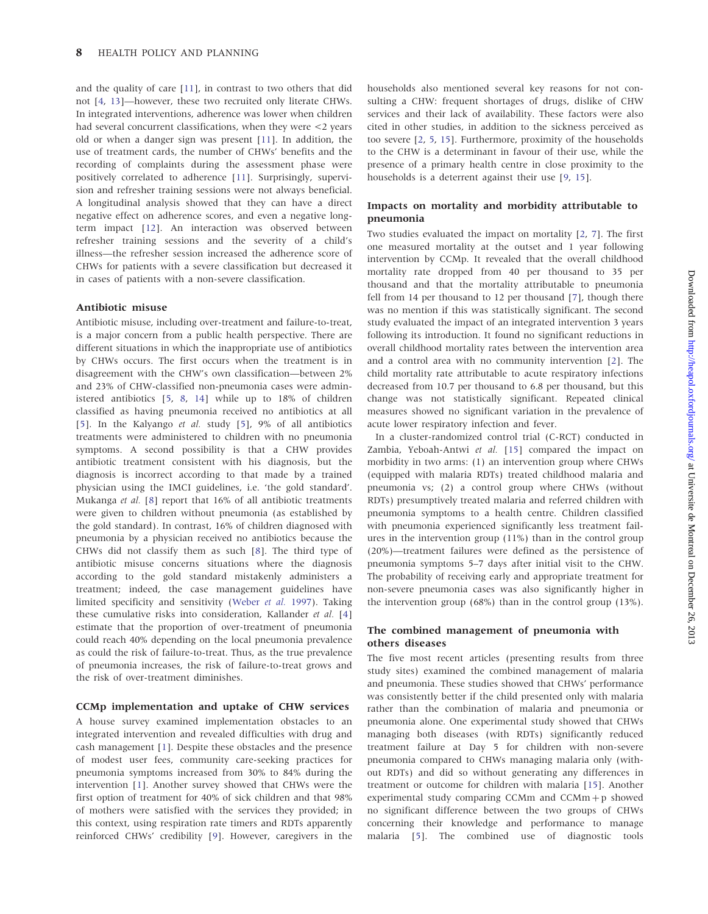and the quality of care [\[11](#page-13-0)], in contrast to two others that did not [\[4,](#page-12-0) [13](#page-13-0)]—however, these two recruited only literate CHWs. In integrated interventions, adherence was lower when children had several concurrent classifications, when they were <2 years old or when a danger sign was present [[11\]](#page-13-0). In addition, the use of treatment cards, the number of CHWs' benefits and the recording of complaints during the assessment phase were positively correlated to adherence [\[11](#page-13-0)]. Surprisingly, supervision and refresher training sessions were not always beneficial. A longitudinal analysis showed that they can have a direct negative effect on adherence scores, and even a negative longterm impact [\[12\]](#page-13-0). An interaction was observed between refresher training sessions and the severity of a child's illness—the refresher session increased the adherence score of CHWs for patients with a severe classification but decreased it in cases of patients with a non-severe classification.

## Antibiotic misuse

Antibiotic misuse, including over-treatment and failure-to-treat, is a major concern from a public health perspective. There are different situations in which the inappropriate use of antibiotics by CHWs occurs. The first occurs when the treatment is in disagreement with the CHW's own classification—between 2% and 23% of CHW-classified non-pneumonia cases were administered antibiotics [[5](#page-12-0), [8](#page-13-0), [14](#page-13-0)] while up to 18% of children classified as having pneumonia received no antibiotics at all [\[5\]](#page-12-0). In the Kalyango et al. study [\[5\]](#page-12-0), 9% of all antibiotics treatments were administered to children with no pneumonia symptoms. A second possibility is that a CHW provides antibiotic treatment consistent with his diagnosis, but the diagnosis is incorrect according to that made by a trained physician using the IMCI guidelines, i.e. 'the gold standard'. Mukanga et al. [[8](#page-13-0)] report that 16% of all antibiotic treatments were given to children without pneumonia (as established by the gold standard). In contrast, 16% of children diagnosed with pneumonia by a physician received no antibiotics because the CHWs did not classify them as such [[8](#page-13-0)]. The third type of antibiotic misuse concerns situations where the diagnosis according to the gold standard mistakenly administers a treatment; indeed, the case management guidelines have limited specificity and sensitivity [\(Weber](#page-12-0) et al. 1997). Taking these cumulative risks into consideration, Kallander et al. [[4](#page-12-0)] estimate that the proportion of over-treatment of pneumonia could reach 40% depending on the local pneumonia prevalence as could the risk of failure-to-treat. Thus, as the true prevalence of pneumonia increases, the risk of failure-to-treat grows and the risk of over-treatment diminishes.

#### CCMp implementation and uptake of CHW services

A house survey examined implementation obstacles to an integrated intervention and revealed difficulties with drug and cash management [[1](#page-12-0)]. Despite these obstacles and the presence of modest user fees, community care-seeking practices for pneumonia symptoms increased from 30% to 84% during the intervention [\[1\]](#page-12-0). Another survey showed that CHWs were the first option of treatment for 40% of sick children and that 98% of mothers were satisfied with the services they provided; in this context, using respiration rate timers and RDTs apparently reinforced CHWs' credibility [[9](#page-13-0)]. However, caregivers in the households also mentioned several key reasons for not consulting a CHW: frequent shortages of drugs, dislike of CHW services and their lack of availability. These factors were also cited in other studies, in addition to the sickness perceived as too severe [[2](#page-12-0), [5,](#page-12-0) [15\]](#page-13-0). Furthermore, proximity of the households to the CHW is a determinant in favour of their use, while the presence of a primary health centre in close proximity to the households is a deterrent against their use [[9](#page-13-0), [15](#page-13-0)].

## Impacts on mortality and morbidity attributable to pneumonia

Two studies evaluated the impact on mortality [[2](#page-12-0), [7](#page-13-0)]. The first one measured mortality at the outset and 1 year following intervention by CCMp. It revealed that the overall childhood mortality rate dropped from 40 per thousand to 35 per thousand and that the mortality attributable to pneumonia fell from 14 per thousand to 12 per thousand [\[7\]](#page-13-0), though there was no mention if this was statistically significant. The second study evaluated the impact of an integrated intervention 3 years following its introduction. It found no significant reductions in overall childhood mortality rates between the intervention area and a control area with no community intervention [\[2](#page-12-0)]. The child mortality rate attributable to acute respiratory infections decreased from 10.7 per thousand to 6.8 per thousand, but this change was not statistically significant. Repeated clinical measures showed no significant variation in the prevalence of acute lower respiratory infection and fever.

In a cluster-randomized control trial (C-RCT) conducted in Zambia, Yeboah-Antwi et al. [[15\]](#page-13-0) compared the impact on morbidity in two arms: (1) an intervention group where CHWs (equipped with malaria RDTs) treated childhood malaria and pneumonia vs; (2) a control group where CHWs (without RDTs) presumptively treated malaria and referred children with pneumonia symptoms to a health centre. Children classified with pneumonia experienced significantly less treatment failures in the intervention group (11%) than in the control group (20%)—treatment failures were defined as the persistence of pneumonia symptoms 5–7 days after initial visit to the CHW. The probability of receiving early and appropriate treatment for non-severe pneumonia cases was also significantly higher in the intervention group (68%) than in the control group (13%).

#### The combined management of pneumonia with others diseases

The five most recent articles (presenting results from three study sites) examined the combined management of malaria and pneumonia. These studies showed that CHWs' performance was consistently better if the child presented only with malaria rather than the combination of malaria and pneumonia or pneumonia alone. One experimental study showed that CHWs managing both diseases (with RDTs) significantly reduced treatment failure at Day 5 for children with non-severe pneumonia compared to CHWs managing malaria only (without RDTs) and did so without generating any differences in treatment or outcome for children with malaria [\[15](#page-13-0)]. Another experimental study comparing CCMm and  $CCMm + p$  showed no significant difference between the two groups of CHWs concerning their knowledge and performance to manage malaria [[5](#page-12-0)]. The combined use of diagnostic tools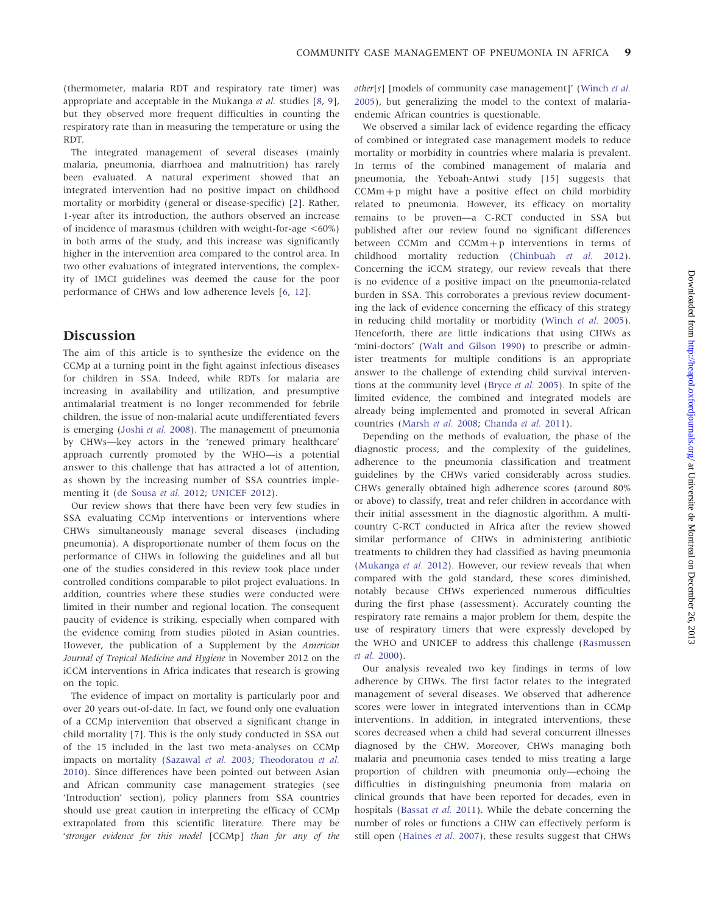(thermometer, malaria RDT and respiratory rate timer) was appropriate and acceptable in the Mukanga et al. studies [\[8,](#page-13-0) [9](#page-13-0)], but they observed more frequent difficulties in counting the respiratory rate than in measuring the temperature or using the RDT.

The integrated management of several diseases (mainly malaria, pneumonia, diarrhoea and malnutrition) has rarely been evaluated. A natural experiment showed that an integrated intervention had no positive impact on childhood mortality or morbidity (general or disease-specific) [[2](#page-12-0)]. Rather, 1-year after its introduction, the authors observed an increase of incidence of marasmus (children with weight-for-age  $\langle 60\% \rangle$ in both arms of the study, and this increase was significantly higher in the intervention area compared to the control area. In two other evaluations of integrated interventions, the complexity of IMCI guidelines was deemed the cause for the poor performance of CHWs and low adherence levels [[6](#page-13-0), [12](#page-13-0)].

# Discussion

The aim of this article is to synthesize the evidence on the CCMp at a turning point in the fight against infectious diseases for children in SSA. Indeed, while RDTs for malaria are increasing in availability and utilization, and presumptive antimalarial treatment is no longer recommended for febrile children, the issue of non-malarial acute undifferentiated fevers is emerging ([Joshi](#page-11-0) et al. 2008). The management of pneumonia by CHWs—key actors in the 'renewed primary healthcare' approach currently promoted by the WHO—is a potential answer to this challenge that has attracted a lot of attention, as shown by the increasing number of SSA countries implementing it [\(de Sousa](#page-11-0) et al. 2012; [UNICEF 2012\)](#page-12-0).

Our review shows that there have been very few studies in SSA evaluating CCMp interventions or interventions where CHWs simultaneously manage several diseases (including pneumonia). A disproportionate number of them focus on the performance of CHWs in following the guidelines and all but one of the studies considered in this review took place under controlled conditions comparable to pilot project evaluations. In addition, countries where these studies were conducted were limited in their number and regional location. The consequent paucity of evidence is striking, especially when compared with the evidence coming from studies piloted in Asian countries. However, the publication of a Supplement by the American Journal of Tropical Medicine and Hygiene in November 2012 on the iCCM interventions in Africa indicates that research is growing on the topic.

The evidence of impact on mortality is particularly poor and over 20 years out-of-date. In fact, we found only one evaluation of a CCMp intervention that observed a significant change in child mortality [\[7\]](#page-13-0). This is the only study conducted in SSA out of the 15 included in the last two meta-analyses on CCMp impacts on mortality [\(Sazawal](#page-12-0) et al. 2003; [Theodoratou](#page-12-0) et al. [2010](#page-12-0)). Since differences have been pointed out between Asian and African community case management strategies (see 'Introduction' section), policy planners from SSA countries should use great caution in interpreting the efficacy of CCMp extrapolated from this scientific literature. There may be 'stronger evidence for this model [CCMp] than for any of the other[s] [models of community case management]' ([Winch](#page-12-0) et al. [2005\)](#page-12-0), but generalizing the model to the context of malariaendemic African countries is questionable.

We observed a similar lack of evidence regarding the efficacy of combined or integrated case management models to reduce mortality or morbidity in countries where malaria is prevalent. In terms of the combined management of malaria and pneumonia, the Yeboah-Antwi study [[15](#page-13-0)] suggests that  $CCMm + p$  might have a positive effect on child morbidity related to pneumonia. However, its efficacy on mortality remains to be proven—a C-RCT conducted in SSA but published after our review found no significant differences between  $CCMm$  and  $CCMm + p$  interventions in terms of childhood mortality reduction [\(Chinbuah](#page-10-0) et al. 2012). Concerning the iCCM strategy, our review reveals that there is no evidence of a positive impact on the pneumonia-related burden in SSA. This corroborates a previous review documenting the lack of evidence concerning the efficacy of this strategy in reducing child mortality or morbidity ([Winch](#page-12-0) et al. 2005). Henceforth, there are little indications that using CHWs as 'mini-doctors' [\(Walt and Gilson 1990](#page-12-0)) to prescribe or administer treatments for multiple conditions is an appropriate answer to the challenge of extending child survival interventions at the community level [\(Bryce](#page-10-0) et al. 2005). In spite of the limited evidence, the combined and integrated models are already being implemented and promoted in several African countries ([Marsh](#page-11-0) et al. 2008; [Chanda](#page-10-0) et al. 2011).

Depending on the methods of evaluation, the phase of the diagnostic process, and the complexity of the guidelines, adherence to the pneumonia classification and treatment guidelines by the CHWs varied considerably across studies. CHWs generally obtained high adherence scores (around 80% or above) to classify, treat and refer children in accordance with their initial assessment in the diagnostic algorithm. A multicountry C-RCT conducted in Africa after the review showed similar performance of CHWs in administering antibiotic treatments to children they had classified as having pneumonia [\(Mukanga](#page-11-0) et al. 2012). However, our review reveals that when compared with the gold standard, these scores diminished, notably because CHWs experienced numerous difficulties during the first phase (assessment). Accurately counting the respiratory rate remains a major problem for them, despite the use of respiratory timers that were expressly developed by the WHO and UNICEF to address this challenge [\(Rasmussen](#page-11-0) et al. [2000](#page-11-0)).

Our analysis revealed two key findings in terms of low adherence by CHWs. The first factor relates to the integrated management of several diseases. We observed that adherence scores were lower in integrated interventions than in CCMp interventions. In addition, in integrated interventions, these scores decreased when a child had several concurrent illnesses diagnosed by the CHW. Moreover, CHWs managing both malaria and pneumonia cases tended to miss treating a large proportion of children with pneumonia only—echoing the difficulties in distinguishing pneumonia from malaria on clinical grounds that have been reported for decades, even in hospitals ([Bassat](#page-10-0) et al. 2011). While the debate concerning the number of roles or functions a CHW can effectively perform is still open [\(Haines](#page-11-0) et al. 2007), these results suggest that CHWs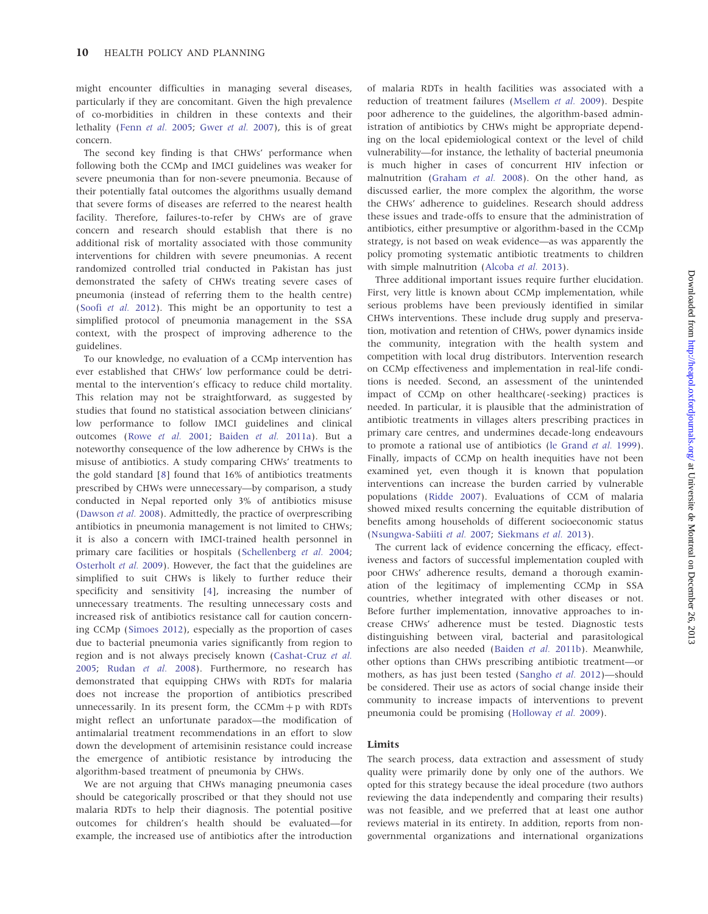might encounter difficulties in managing several diseases, particularly if they are concomitant. Given the high prevalence of co-morbidities in children in these contexts and their lethality ([Fenn](#page-11-0) et al. 2005; [Gwer](#page-11-0) et al. 2007), this is of great concern.

The second key finding is that CHWs' performance when following both the CCMp and IMCI guidelines was weaker for severe pneumonia than for non-severe pneumonia. Because of their potentially fatal outcomes the algorithms usually demand that severe forms of diseases are referred to the nearest health facility. Therefore, failures-to-refer by CHWs are of grave concern and research should establish that there is no additional risk of mortality associated with those community interventions for children with severe pneumonias. A recent randomized controlled trial conducted in Pakistan has just demonstrated the safety of CHWs treating severe cases of pneumonia (instead of referring them to the health centre) [\(Soofi](#page-12-0) et al. 2012). This might be an opportunity to test a simplified protocol of pneumonia management in the SSA context, with the prospect of improving adherence to the guidelines.

To our knowledge, no evaluation of a CCMp intervention has ever established that CHWs' low performance could be detrimental to the intervention's efficacy to reduce child mortality. This relation may not be straightforward, as suggested by studies that found no statistical association between clinicians' low performance to follow IMCI guidelines and clinical outcomes ([Rowe](#page-12-0) et al. 2001; [Baiden](#page-10-0) et al. 2011a). But a noteworthy consequence of the low adherence by CHWs is the misuse of antibiotics. A study comparing CHWs' treatments to the gold standard [\[8\]](#page-13-0) found that 16% of antibiotics treatments prescribed by CHWs were unnecessary—by comparison, a study conducted in Nepal reported only 3% of antibiotics misuse [\(Dawson](#page-11-0) et al. 2008). Admittedly, the practice of overprescribing antibiotics in pneumonia management is not limited to CHWs; it is also a concern with IMCI-trained health personnel in primary care facilities or hospitals [\(Schellenberg](#page-12-0) et al. 2004; [Osterholt](#page-11-0) et al. 2009). However, the fact that the guidelines are simplified to suit CHWs is likely to further reduce their specificity and sensitivity [\[4\]](#page-12-0), increasing the number of unnecessary treatments. The resulting unnecessary costs and increased risk of antibiotics resistance call for caution concerning CCMp ([Simoes 2012](#page-12-0)), especially as the proportion of cases due to bacterial pneumonia varies significantly from region to region and is not always precisely known [\(Cashat-Cruz](#page-10-0) et al. [2005](#page-10-0); [Rudan](#page-12-0) et al. 2008). Furthermore, no research has demonstrated that equipping CHWs with RDTs for malaria does not increase the proportion of antibiotics prescribed unnecessarily. In its present form, the  $CCMm + p$  with RDTs might reflect an unfortunate paradox—the modification of antimalarial treatment recommendations in an effort to slow down the development of artemisinin resistance could increase the emergence of antibiotic resistance by introducing the algorithm-based treatment of pneumonia by CHWs.

We are not arguing that CHWs managing pneumonia cases should be categorically proscribed or that they should not use malaria RDTs to help their diagnosis. The potential positive outcomes for children's health should be evaluated—for example, the increased use of antibiotics after the introduction

of malaria RDTs in health facilities was associated with a reduction of treatment failures [\(Msellem](#page-11-0) et al. 2009). Despite poor adherence to the guidelines, the algorithm-based administration of antibiotics by CHWs might be appropriate depending on the local epidemiological context or the level of child vulnerability—for instance, the lethality of bacterial pneumonia is much higher in cases of concurrent HIV infection or malnutrition [\(Graham](#page-11-0) et al. 2008). On the other hand, as discussed earlier, the more complex the algorithm, the worse the CHWs' adherence to guidelines. Research should address these issues and trade-offs to ensure that the administration of antibiotics, either presumptive or algorithm-based in the CCMp strategy, is not based on weak evidence—as was apparently the policy promoting systematic antibiotic treatments to children with simple malnutrition ([Alcoba](#page-10-0) et al. 2013).

Three additional important issues require further elucidation. First, very little is known about CCMp implementation, while serious problems have been previously identified in similar CHWs interventions. These include drug supply and preservation, motivation and retention of CHWs, power dynamics inside the community, integration with the health system and competition with local drug distributors. Intervention research on CCMp effectiveness and implementation in real-life conditions is needed. Second, an assessment of the unintended impact of CCMp on other healthcare(-seeking) practices is needed. In particular, it is plausible that the administration of antibiotic treatments in villages alters prescribing practices in primary care centres, and undermines decade-long endeavours to promote a rational use of antibiotics ([le Grand](#page-11-0) et al. 1999). Finally, impacts of CCMp on health inequities have not been examined yet, even though it is known that population interventions can increase the burden carried by vulnerable populations ([Ridde 2007\)](#page-12-0). Evaluations of CCM of malaria showed mixed results concerning the equitable distribution of benefits among households of different socioeconomic status [\(Nsungwa-Sabiiti](#page-11-0) et al. 2007; [Siekmans](#page-12-0) et al. 2013).

The current lack of evidence concerning the efficacy, effectiveness and factors of successful implementation coupled with poor CHWs' adherence results, demand a thorough examination of the legitimacy of implementing CCMp in SSA countries, whether integrated with other diseases or not. Before further implementation, innovative approaches to increase CHWs' adherence must be tested. Diagnostic tests distinguishing between viral, bacterial and parasitological infections are also needed ([Baiden](#page-10-0) et al. 2011b). Meanwhile, other options than CHWs prescribing antibiotic treatment—or mothers, as has just been tested ([Sangho](#page-12-0) et al. 2012)—should be considered. Their use as actors of social change inside their community to increase impacts of interventions to prevent pneumonia could be promising ([Holloway](#page-11-0) et al. 2009).

## Limits

The search process, data extraction and assessment of study quality were primarily done by only one of the authors. We opted for this strategy because the ideal procedure (two authors reviewing the data independently and comparing their results) was not feasible, and we preferred that at least one author reviews material in its entirety. In addition, reports from nongovernmental organizations and international organizations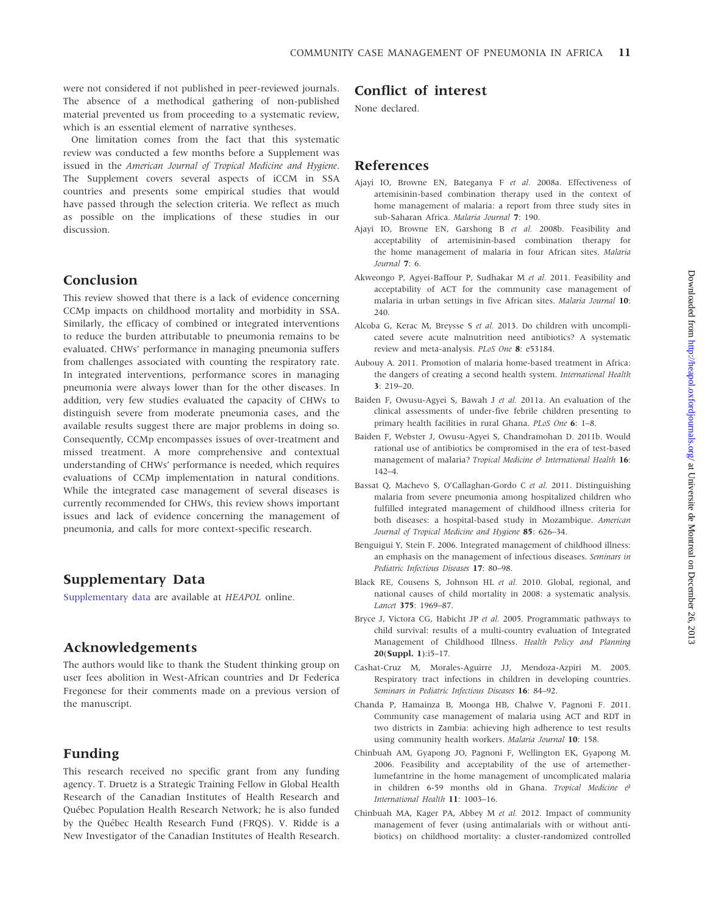<span id="page-10-0"></span>were not considered if not published in peer-reviewed journals. The absence of a methodical gathering of non-published material prevented us from proceeding to a systematic review, which is an essential element of narrative syntheses.

One limitation comes from the fact that this systematic review was conducted a few months before a Supplement was issued in the American Journal of Tropical Medicine and Hygiene. The Supplement covers several aspects of iCCM in SSA countries and presents some empirical studies that would have passed through the selection criteria. We reflect as much as possible on the implications of these studies in our discussion.

# Conclusion

This review showed that there is a lack of evidence concerning CCMp impacts on childhood mortality and morbidity in SSA. Similarly, the efficacy of combined or integrated interventions to reduce the burden attributable to pneumonia remains to be evaluated. CHWs' performance in managing pneumonia suffers from challenges associated with counting the respiratory rate. In integrated interventions, performance scores in managing pneumonia were always lower than for the other diseases. In addition, very few studies evaluated the capacity of CHWs to distinguish severe from moderate pneumonia cases, and the available results suggest there are major problems in doing so. Consequently, CCMp encompasses issues of over-treatment and missed treatment. A more comprehensive and contextual understanding of CHWs' performance is needed, which requires evaluations of CCMp implementation in natural conditions. While the integrated case management of several diseases is currently recommended for CHWs, this review shows important issues and lack of evidence concerning the management of pneumonia, and calls for more context-specific research.

# Supplementary Data

[Supplementary data](http://heapol.oxfordjournals.org/lookup/suppl/doi:10.1093/heapol/czt104/-/DC1) are available at HEAPOL online.

# Acknowledgements

The authors would like to thank the Student thinking group on user fees abolition in West-African countries and Dr Federica Fregonese for their comments made on a previous version of the manuscript.

## Funding

This research received no specific grant from any funding agency. T. Druetz is a Strategic Training Fellow in Global Health Research of the Canadian Institutes of Health Research and Québec Population Health Research Network; he is also funded by the Québec Health Research Fund (FRQS). V. Ridde is a New Investigator of the Canadian Institutes of Health Research.

# Conflict of interest

None declared.

# References

- Ajayi IO, Browne EN, Bateganya F et al. 2008a. Effectiveness of artemisinin-based combination therapy used in the context of home management of malaria: a report from three study sites in sub-Saharan Africa. Malaria Journal 7: 190.
- Ajayi IO, Browne EN, Garshong B et al. 2008b. Feasibility and acceptability of artemisinin-based combination therapy for the home management of malaria in four African sites. Malaria Journal 7: 6.
- Akweongo P, Agyei-Baffour P, Sudhakar M et al. 2011. Feasibility and acceptability of ACT for the community case management of malaria in urban settings in five African sites. Malaria Journal 10: 240.
- Alcoba G, Kerac M, Breysse S et al. 2013. Do children with uncomplicated severe acute malnutrition need antibiotics? A systematic review and meta-analysis. PLoS One 8: e53184.
- Aubouy A. 2011. Promotion of malaria home-based treatment in Africa: the dangers of creating a second health system. International Health 3: 219–20.
- Baiden F, Owusu-Agyei S, Bawah J et al. 2011a. An evaluation of the clinical assessments of under-five febrile children presenting to primary health facilities in rural Ghana. PLoS One 6: 1–8.
- Baiden F, Webster J, Owusu-Agyei S, Chandramohan D. 2011b. Would rational use of antibiotics be compromised in the era of test-based management of malaria? Tropical Medicine  $\theta$  International Health 16: 142–4.
- Bassat Q, Machevo S, O'Callaghan-Gordo C et al. 2011. Distinguishing malaria from severe pneumonia among hospitalized children who fulfilled integrated management of childhood illness criteria for both diseases: a hospital-based study in Mozambique. American Journal of Tropical Medicine and Hygiene 85: 626-34.
- Benguigui Y, Stein F. 2006. Integrated management of childhood illness: an emphasis on the management of infectious diseases. Seminars in Pediatric Infectious Diseases 17: 80–98.
- Black RE, Cousens S, Johnson HL et al. 2010. Global, regional, and national causes of child mortality in 2008: a systematic analysis. Lancet 375: 1969–87.
- Bryce J, Victora CG, Habicht JP et al. 2005. Programmatic pathways to child survival: results of a multi-country evaluation of Integrated Management of Childhood Illness. Health Policy and Planning 20(Suppl. 1):i5–17.
- Cashat-Cruz M, Morales-Aguirre JJ, Mendoza-Azpiri M. 2005. Respiratory tract infections in children in developing countries. Seminars in Pediatric Infectious Diseases 16: 84–92.
- Chanda P, Hamainza B, Moonga HB, Chalwe V, Pagnoni F. 2011. Community case management of malaria using ACT and RDT in two districts in Zambia: achieving high adherence to test results using community health workers. Malaria Journal 10: 158.
- Chinbuah AM, Gyapong JO, Pagnoni F, Wellington EK, Gyapong M. 2006. Feasibility and acceptability of the use of artemetherlumefantrine in the home management of uncomplicated malaria in children 6-59 months old in Ghana. Tropical Medicine  $\mathcal O$ International Health 11: 1003–16.
- Chinbuah MA, Kager PA, Abbey M et al. 2012. Impact of community management of fever (using antimalarials with or without antibiotics) on childhood mortality: a cluster-randomized controlled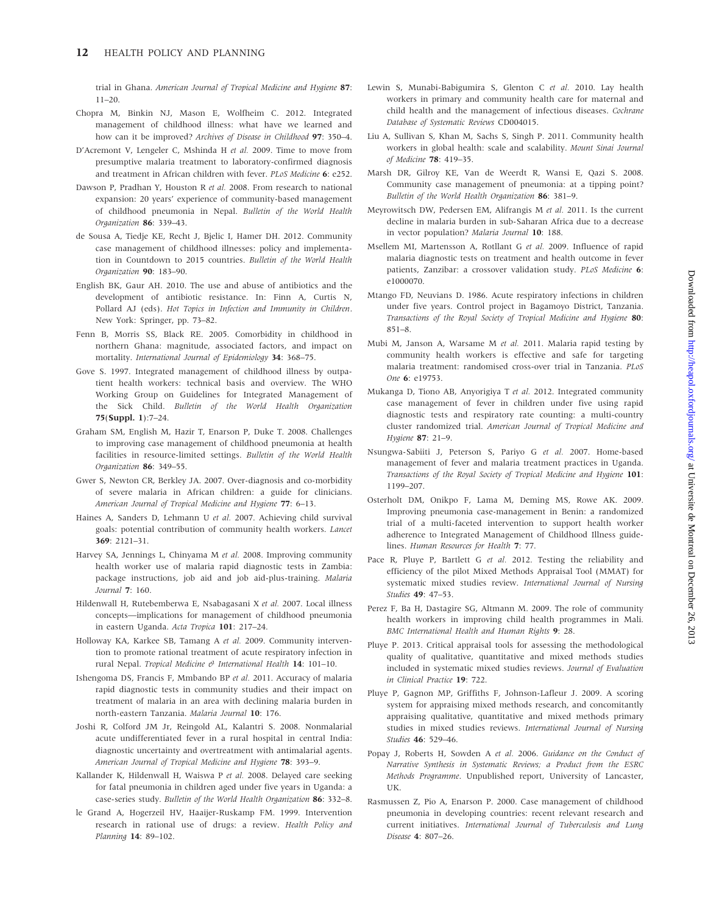<span id="page-11-0"></span>trial in Ghana. American Journal of Tropical Medicine and Hygiene 87: 11–20.

- Chopra M, Binkin NJ, Mason E, Wolfheim C. 2012. Integrated management of childhood illness: what have we learned and how can it be improved? Archives of Disease in Childhood 97: 350–4.
- D'Acremont V, Lengeler C, Mshinda H et al. 2009. Time to move from presumptive malaria treatment to laboratory-confirmed diagnosis and treatment in African children with fever. PLoS Medicine 6: e252.
- Dawson P, Pradhan Y, Houston R et al. 2008. From research to national expansion: 20 years' experience of community-based management of childhood pneumonia in Nepal. Bulletin of the World Health Organization 86: 339–43.
- de Sousa A, Tiedje KE, Recht J, Bjelic I, Hamer DH. 2012. Community case management of childhood illnesses: policy and implementation in Countdown to 2015 countries. Bulletin of the World Health Organization 90: 183–90.
- English BK, Gaur AH. 2010. The use and abuse of antibiotics and the development of antibiotic resistance. In: Finn A, Curtis N, Pollard AJ (eds). Hot Topics in Infection and Immunity in Children. New York: Springer, pp. 73–82.
- Fenn B, Morris SS, Black RE. 2005. Comorbidity in childhood in northern Ghana: magnitude, associated factors, and impact on mortality. International Journal of Epidemiology 34: 368–75.
- Gove S. 1997. Integrated management of childhood illness by outpatient health workers: technical basis and overview. The WHO Working Group on Guidelines for Integrated Management of the Sick Child. Bulletin of the World Health Organization 75(Suppl. 1):7–24.
- Graham SM, English M, Hazir T, Enarson P, Duke T. 2008. Challenges to improving case management of childhood pneumonia at health facilities in resource-limited settings. Bulletin of the World Health Organization 86: 349-55.
- Gwer S, Newton CR, Berkley JA. 2007. Over-diagnosis and co-morbidity of severe malaria in African children: a guide for clinicians. American Journal of Tropical Medicine and Hygiene 77: 6–13.
- Haines A, Sanders D, Lehmann U et al. 2007. Achieving child survival goals: potential contribution of community health workers. Lancet 369: 2121–31.
- Harvey SA, Jennings L, Chinyama M et al. 2008. Improving community health worker use of malaria rapid diagnostic tests in Zambia: package instructions, job aid and job aid-plus-training. Malaria Journal 7: 160.
- Hildenwall H, Rutebemberwa E, Nsabagasani X et al. 2007. Local illness concepts—implications for management of childhood pneumonia in eastern Uganda. Acta Tropica 101: 217–24.
- Holloway KA, Karkee SB, Tamang A et al. 2009. Community intervention to promote rational treatment of acute respiratory infection in rural Nepal. Tropical Medicine  $\theta$  International Health 14: 101-10.
- Ishengoma DS, Francis F, Mmbando BP et al. 2011. Accuracy of malaria rapid diagnostic tests in community studies and their impact on treatment of malaria in an area with declining malaria burden in north-eastern Tanzania. Malaria Journal 10: 176.
- Joshi R, Colford JM Jr, Reingold AL, Kalantri S. 2008. Nonmalarial acute undifferentiated fever in a rural hospital in central India: diagnostic uncertainty and overtreatment with antimalarial agents. American Journal of Tropical Medicine and Hygiene 78: 393–9.
- Kallander K, Hildenwall H, Waiswa P et al. 2008. Delayed care seeking for fatal pneumonia in children aged under five years in Uganda: a case-series study. Bulletin of the World Health Organization 86: 332–8.
- le Grand A, Hogerzeil HV, Haaijer-Ruskamp FM. 1999. Intervention research in rational use of drugs: a review. Health Policy and Planning 14: 89–102.
- Lewin S, Munabi-Babigumira S, Glenton C et al. 2010. Lay health workers in primary and community health care for maternal and child health and the management of infectious diseases. Cochrane Database of Systematic Reviews CD004015.
- Liu A, Sullivan S, Khan M, Sachs S, Singh P. 2011. Community health workers in global health: scale and scalability. Mount Sinai Journal of Medicine 78: 419–35.
- Marsh DR, Gilroy KE, Van de Weerdt R, Wansi E, Qazi S. 2008. Community case management of pneumonia: at a tipping point? Bulletin of the World Health Organization 86: 381–9.
- Meyrowitsch DW, Pedersen EM, Alifrangis M et al. 2011. Is the current decline in malaria burden in sub-Saharan Africa due to a decrease in vector population? Malaria Journal 10: 188.
- Msellem MI, Martensson A, Rotllant G et al. 2009. Influence of rapid malaria diagnostic tests on treatment and health outcome in fever patients, Zanzibar: a crossover validation study. PLoS Medicine 6: e1000070.
- Mtango FD, Neuvians D. 1986. Acute respiratory infections in children under five years. Control project in Bagamoyo District, Tanzania. Transactions of the Royal Society of Tropical Medicine and Hygiene 80: 851–8.
- Mubi M, Janson A, Warsame M et al. 2011. Malaria rapid testing by community health workers is effective and safe for targeting malaria treatment: randomised cross-over trial in Tanzania. PLoS One 6: e19753.
- Mukanga D, Tiono AB, Anyorigiya T et al. 2012. Integrated community case management of fever in children under five using rapid diagnostic tests and respiratory rate counting: a multi-country cluster randomized trial. American Journal of Tropical Medicine and Hygiene 87: 21–9.
- Nsungwa-Sabiiti J, Peterson S, Pariyo G et al. 2007. Home-based management of fever and malaria treatment practices in Uganda. Transactions of the Royal Society of Tropical Medicine and Hygiene 101: 1199–207.
- Osterholt DM, Onikpo F, Lama M, Deming MS, Rowe AK. 2009. Improving pneumonia case-management in Benin: a randomized trial of a multi-faceted intervention to support health worker adherence to Integrated Management of Childhood Illness guidelines. Human Resources for Health 7: 77.
- Pace R, Pluye P, Bartlett G et al. 2012. Testing the reliability and efficiency of the pilot Mixed Methods Appraisal Tool (MMAT) for systematic mixed studies review. International Journal of Nursing Studies 49: 47–53.
- Perez F, Ba H, Dastagire SG, Altmann M. 2009. The role of community health workers in improving child health programmes in Mali. BMC International Health and Human Rights 9: 28.
- Pluye P. 2013. Critical appraisal tools for assessing the methodological quality of qualitative, quantitative and mixed methods studies included in systematic mixed studies reviews. Journal of Evaluation in Clinical Practice 19: 722.
- Pluye P, Gagnon MP, Griffiths F, Johnson-Lafleur J. 2009. A scoring system for appraising mixed methods research, and concomitantly appraising qualitative, quantitative and mixed methods primary studies in mixed studies reviews. International Journal of Nursing Studies 46: 529–46.
- Popay J, Roberts H, Sowden A et al. 2006. Guidance on the Conduct of Narrative Synthesis in Systematic Reviews; a Product from the ESRC Methods Programme. Unpublished report, University of Lancaster, UK.
- Rasmussen Z, Pio A, Enarson P. 2000. Case management of childhood pneumonia in developing countries: recent relevant research and current initiatives. International Journal of Tuberculosis and Lung Disease 4: 807–26.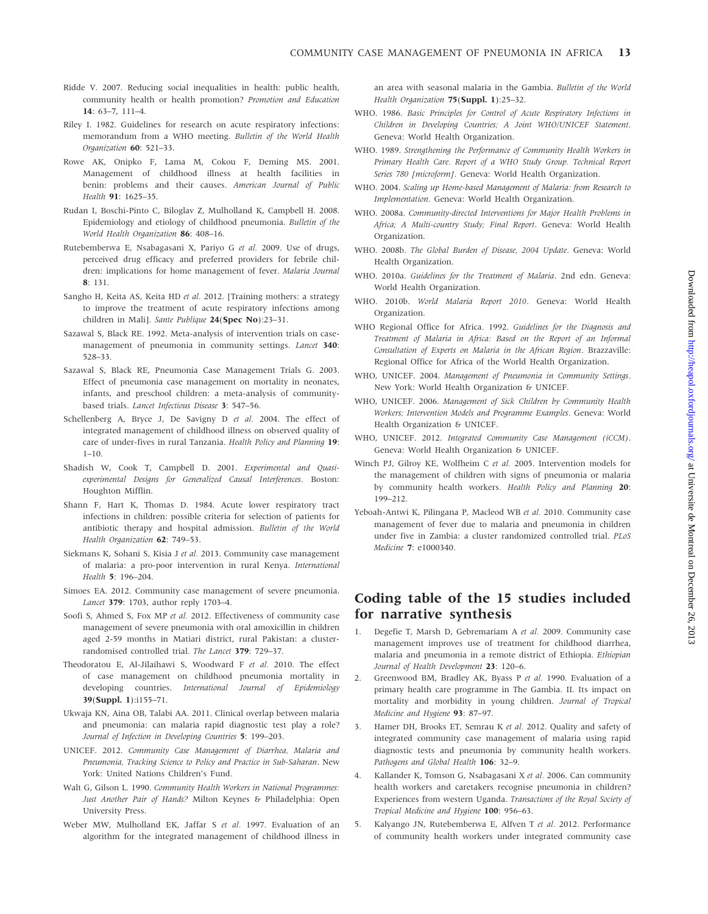- <span id="page-12-0"></span>Ridde V. 2007. Reducing social inequalities in health: public health, community health or health promotion? Promotion and Education 14: 63–7, 111–4.
- Riley I. 1982. Guidelines for research on acute respiratory infections: memorandum from a WHO meeting. Bulletin of the World Health Organization 60: 521–33.
- Rowe AK, Onipko F, Lama M, Cokou F, Deming MS. 2001. Management of childhood illness at health facilities in benin: problems and their causes. American Journal of Public Health 91: 1625–35.
- Rudan I, Boschi-Pinto C, Biloglav Z, Mulholland K, Campbell H. 2008. Epidemiology and etiology of childhood pneumonia. Bulletin of the World Health Organization 86: 408–16.
- Rutebemberwa E, Nsabagasani X, Pariyo G et al. 2009. Use of drugs, perceived drug efficacy and preferred providers for febrile children: implications for home management of fever. Malaria Journal 8: 131.
- Sangho H, Keita AS, Keita HD et al. 2012. [Training mothers: a strategy to improve the treatment of acute respiratory infections among children in Mali]. Sante Publique 24(Spec No):23–31.
- Sazawal S, Black RE. 1992. Meta-analysis of intervention trials on casemanagement of pneumonia in community settings. Lancet 340: 528–33.
- Sazawal S, Black RE, Pneumonia Case Management Trials G. 2003. Effect of pneumonia case management on mortality in neonates, infants, and preschool children: a meta-analysis of communitybased trials. Lancet Infectious Disease 3: 547–56.
- Schellenberg A, Bryce J, De Savigny D et al. 2004. The effect of integrated management of childhood illness on observed quality of care of under-fives in rural Tanzania. Health Policy and Planning 19:  $1-10.$
- Shadish W, Cook T, Campbell D. 2001. Experimental and Quasiexperimental Designs for Generalized Causal Interferences. Boston: Houghton Mifflin.
- Shann F, Hart K, Thomas D. 1984. Acute lower respiratory tract infections in children: possible criteria for selection of patients for antibiotic therapy and hospital admission. Bulletin of the World Health Organization 62: 749–53.
- Siekmans K, Sohani S, Kisia J et al. 2013. Community case management of malaria: a pro-poor intervention in rural Kenya. International Health 5: 196–204.
- Simoes EA. 2012. Community case management of severe pneumonia. Lancet 379: 1703, author reply 1703-4.
- Soofi S, Ahmed S, Fox MP et al. 2012. Effectiveness of community case management of severe pneumonia with oral amoxicillin in children aged 2-59 months in Matiari district, rural Pakistan: a clusterrandomised controlled trial. The Lancet 379: 729–37.
- Theodoratou E, Al-Jilaihawi S, Woodward F et al. 2010. The effect of case management on childhood pneumonia mortality in developing countries. International Journal of Epidemiology 39(Suppl. 1):i155–71.
- Ukwaja KN, Aina OB, Talabi AA. 2011. Clinical overlap between malaria and pneumonia: can malaria rapid diagnostic test play a role? Journal of Infection in Developing Countries 5: 199-203.
- UNICEF. 2012. Community Case Management of Diarrhea, Malaria and Pneumonia, Tracking Science to Policy and Practice in Sub-Saharan. New York: United Nations Children's Fund.
- Walt G, Gilson L. 1990. Community Health Workers in National Programmes: Just Another Pair of Hands? Milton Keynes & Philadelphia: Open University Press.
- Weber MW, Mulholland EK, Jaffar S et al. 1997. Evaluation of an algorithm for the integrated management of childhood illness in

an area with seasonal malaria in the Gambia. Bulletin of the World Health Organization 75(Suppl. 1):25-32.

- WHO. 1986. Basic Principles for Control of Acute Respiratory Infections in Children in Developing Countries; A Joint WHO/UNICEF Statement. Geneva: World Health Organization.
- WHO. 1989. Strengthening the Performance of Community Health Workers in Primary Health Care. Report of a WHO Study Group. Technical Report Series 780 [microform]. Geneva: World Health Organization.
- WHO. 2004. Scaling up Home-based Management of Malaria: from Research to Implementation. Geneva: World Health Organization.
- WHO. 2008a. Community-directed Interventions for Major Health Problems in Africa; A Multi-country Study; Final Report. Geneva: World Health Organization.
- WHO. 2008b. The Global Burden of Disease, 2004 Update. Geneva: World Health Organization.
- WHO. 2010a. Guidelines for the Treatment of Malaria. 2nd edn. Geneva: World Health Organization.
- WHO. 2010b. World Malaria Report 2010. Geneva: World Health Organization.
- WHO Regional Office for Africa. 1992. Guidelines for the Diagnosis and Treatment of Malaria in Africa: Based on the Report of an Informal Consultation of Experts on Malaria in the African Region. Brazzaville: Regional Office for Africa of the World Health Organization.
- WHO, UNICEF. 2004. Management of Pneumonia in Community Settings. New York: World Health Organization & UNICEF.
- WHO, UNICEF. 2006. Management of Sick Children by Community Health Workers; Intervention Models and Programme Examples. Geneva: World Health Organization & UNICEF.
- WHO, UNICEF. 2012. Integrated Community Case Management (iCCM). Geneva: World Health Organization & UNICEF.
- Winch PJ, Gilroy KE, Wolfheim C et al. 2005. Intervention models for the management of children with signs of pneumonia or malaria by community health workers. Health Policy and Planning 20: 199–212.
- Yeboah-Antwi K, Pilingana P, Macleod WB et al. 2010. Community case management of fever due to malaria and pneumonia in children under five in Zambia: a cluster randomized controlled trial. PLoS Medicine 7: e1000340.

# Coding table of the 15 studies included for narrative synthesis

- 1. Degefie T, Marsh D, Gebremariam A et al. 2009. Community case management improves use of treatment for childhood diarrhea, malaria and pneumonia in a remote district of Ethiopia. Ethiopian Journal of Health Development 23: 120–6.
- 2. Greenwood BM, Bradley AK, Byass P et al. 1990. Evaluation of a primary health care programme in The Gambia. II. Its impact on mortality and morbidity in young children. Journal of Tropical Medicine and Hygiene 93: 87–97.
- 3. Hamer DH, Brooks ET, Semrau K et al. 2012. Quality and safety of integrated community case management of malaria using rapid diagnostic tests and pneumonia by community health workers. Pathogens and Global Health 106: 32–9.
- 4. Kallander K, Tomson G, Nsabagasani X et al. 2006. Can community health workers and caretakers recognise pneumonia in children? Experiences from western Uganda. Transactions of the Royal Society of Tropical Medicine and Hygiene 100: 956–63.
- 5. Kalyango JN, Rutebemberwa E, Alfven T et al. 2012. Performance of community health workers under integrated community case